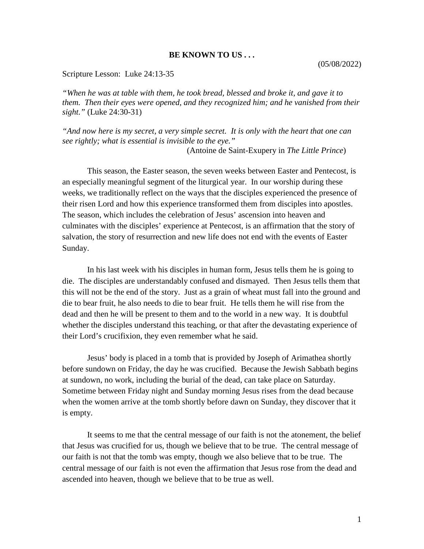## **BE KNOWN TO US . . .**

Scripture Lesson: Luke 24:13-35

*"When he was at table with them, he took bread, blessed and broke it, and gave it to them. Then their eyes were opened, and they recognized him; and he vanished from their sight."* (Luke 24:30-31)

*"And now here is my secret, a very simple secret. It is only with the heart that one can see rightly; what is essential is invisible to the eye."*

(Antoine de Saint-Exupery in *The Little Prince*)

This season, the Easter season, the seven weeks between Easter and Pentecost, is an especially meaningful segment of the liturgical year. In our worship during these weeks, we traditionally reflect on the ways that the disciples experienced the presence of their risen Lord and how this experience transformed them from disciples into apostles. The season, which includes the celebration of Jesus' ascension into heaven and culminates with the disciples' experience at Pentecost, is an affirmation that the story of salvation, the story of resurrection and new life does not end with the events of Easter Sunday.

In his last week with his disciples in human form, Jesus tells them he is going to die. The disciples are understandably confused and dismayed. Then Jesus tells them that this will not be the end of the story. Just as a grain of wheat must fall into the ground and die to bear fruit, he also needs to die to bear fruit. He tells them he will rise from the dead and then he will be present to them and to the world in a new way. It is doubtful whether the disciples understand this teaching, or that after the devastating experience of their Lord's crucifixion, they even remember what he said.

Jesus' body is placed in a tomb that is provided by Joseph of Arimathea shortly before sundown on Friday, the day he was crucified. Because the Jewish Sabbath begins at sundown, no work, including the burial of the dead, can take place on Saturday. Sometime between Friday night and Sunday morning Jesus rises from the dead because when the women arrive at the tomb shortly before dawn on Sunday, they discover that it is empty.

It seems to me that the central message of our faith is not the atonement, the belief that Jesus was crucified for us, though we believe that to be true. The central message of our faith is not that the tomb was empty, though we also believe that to be true. The central message of our faith is not even the affirmation that Jesus rose from the dead and ascended into heaven, though we believe that to be true as well.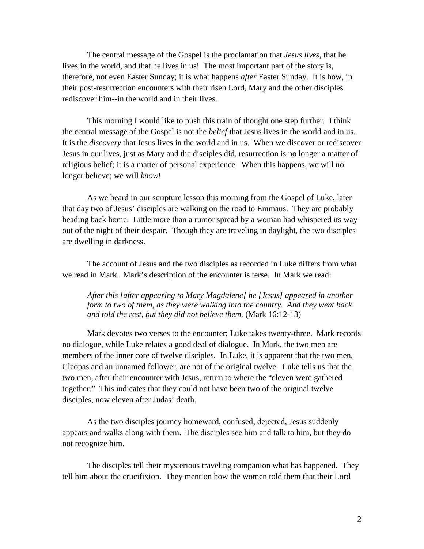The central message of the Gospel is the proclamation that *Jesus lives*, that he lives in the world, and that he lives in us! The most important part of the story is, therefore, not even Easter Sunday; it is what happens *after* Easter Sunday. It is how, in their post-resurrection encounters with their risen Lord, Mary and the other disciples rediscover him--in the world and in their lives.

This morning I would like to push this train of thought one step further. I think the central message of the Gospel is not the *belief* that Jesus lives in the world and in us. It is the *discovery* that Jesus lives in the world and in us. When we discover or rediscover Jesus in our lives, just as Mary and the disciples did, resurrection is no longer a matter of religious belief; it is a matter of personal experience. When this happens, we will no longer believe; we will *know*!

As we heard in our scripture lesson this morning from the Gospel of Luke, later that day two of Jesus' disciples are walking on the road to Emmaus. They are probably heading back home. Little more than a rumor spread by a woman had whispered its way out of the night of their despair. Though they are traveling in daylight, the two disciples are dwelling in darkness.

The account of Jesus and the two disciples as recorded in Luke differs from what we read in Mark. Mark's description of the encounter is terse. In Mark we read:

*After this [after appearing to Mary Magdalene] he [Jesus] appeared in another form to two of them, as they were walking into the country. And they went back and told the rest, but they did not believe them.* (Mark 16:12-13)

Mark devotes two verses to the encounter; Luke takes twenty-three. Mark records no dialogue, while Luke relates a good deal of dialogue. In Mark, the two men are members of the inner core of twelve disciples. In Luke, it is apparent that the two men, Cleopas and an unnamed follower, are not of the original twelve. Luke tells us that the two men, after their encounter with Jesus, return to where the "eleven were gathered together." This indicates that they could not have been two of the original twelve disciples, now eleven after Judas' death.

As the two disciples journey homeward, confused, dejected, Jesus suddenly appears and walks along with them. The disciples see him and talk to him, but they do not recognize him.

The disciples tell their mysterious traveling companion what has happened. They tell him about the crucifixion. They mention how the women told them that their Lord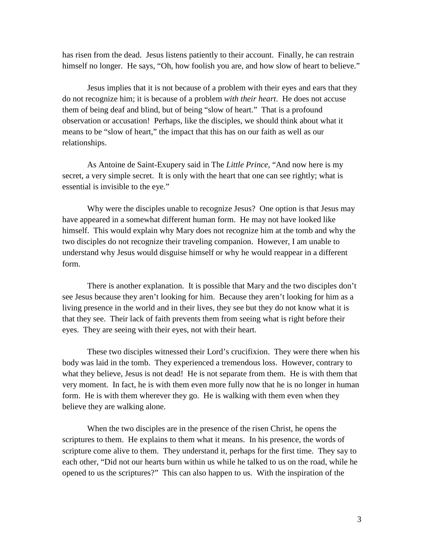has risen from the dead. Jesus listens patiently to their account. Finally, he can restrain himself no longer. He says, "Oh, how foolish you are, and how slow of heart to believe."

Jesus implies that it is not because of a problem with their eyes and ears that they do not recognize him; it is because of a problem *with their heart*. He does not accuse them of being deaf and blind, but of being "slow of heart." That is a profound observation or accusation! Perhaps, like the disciples, we should think about what it means to be "slow of heart," the impact that this has on our faith as well as our relationships.

As Antoine de Saint-Exupery said in The *Little Prince*, "And now here is my secret, a very simple secret. It is only with the heart that one can see rightly; what is essential is invisible to the eye."

Why were the disciples unable to recognize Jesus? One option is that Jesus may have appeared in a somewhat different human form. He may not have looked like himself. This would explain why Mary does not recognize him at the tomb and why the two disciples do not recognize their traveling companion. However, I am unable to understand why Jesus would disguise himself or why he would reappear in a different form.

There is another explanation. It is possible that Mary and the two disciples don't see Jesus because they aren't looking for him. Because they aren't looking for him as a living presence in the world and in their lives, they see but they do not know what it is that they see. Their lack of faith prevents them from seeing what is right before their eyes. They are seeing with their eyes, not with their heart.

These two disciples witnessed their Lord's crucifixion. They were there when his body was laid in the tomb. They experienced a tremendous loss. However, contrary to what they believe, Jesus is not dead! He is not separate from them. He is with them that very moment. In fact, he is with them even more fully now that he is no longer in human form. He is with them wherever they go. He is walking with them even when they believe they are walking alone.

When the two disciples are in the presence of the risen Christ, he opens the scriptures to them. He explains to them what it means. In his presence, the words of scripture come alive to them. They understand it, perhaps for the first time. They say to each other, "Did not our hearts burn within us while he talked to us on the road, while he opened to us the scriptures?" This can also happen to us. With the inspiration of the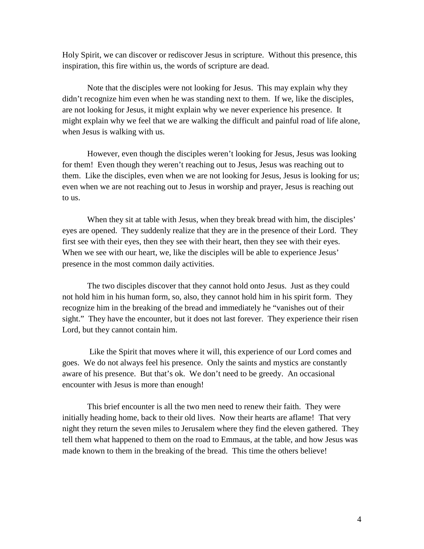Holy Spirit, we can discover or rediscover Jesus in scripture. Without this presence, this inspiration, this fire within us, the words of scripture are dead.

Note that the disciples were not looking for Jesus. This may explain why they didn't recognize him even when he was standing next to them. If we, like the disciples, are not looking for Jesus, it might explain why we never experience his presence. It might explain why we feel that we are walking the difficult and painful road of life alone, when Jesus is walking with us.

However, even though the disciples weren't looking for Jesus, Jesus was looking for them! Even though they weren't reaching out to Jesus, Jesus was reaching out to them. Like the disciples, even when we are not looking for Jesus, Jesus is looking for us; even when we are not reaching out to Jesus in worship and prayer, Jesus is reaching out to us.

When they sit at table with Jesus, when they break bread with him, the disciples' eyes are opened. They suddenly realize that they are in the presence of their Lord. They first see with their eyes, then they see with their heart, then they see with their eyes. When we see with our heart, we, like the disciples will be able to experience Jesus' presence in the most common daily activities.

The two disciples discover that they cannot hold onto Jesus. Just as they could not hold him in his human form, so, also, they cannot hold him in his spirit form. They recognize him in the breaking of the bread and immediately he "vanishes out of their sight." They have the encounter, but it does not last forever. They experience their risen Lord, but they cannot contain him.

Like the Spirit that moves where it will, this experience of our Lord comes and goes. We do not always feel his presence. Only the saints and mystics are constantly aware of his presence. But that's ok. We don't need to be greedy. An occasional encounter with Jesus is more than enough!

This brief encounter is all the two men need to renew their faith. They were initially heading home, back to their old lives. Now their hearts are aflame! That very night they return the seven miles to Jerusalem where they find the eleven gathered. They tell them what happened to them on the road to Emmaus, at the table, and how Jesus was made known to them in the breaking of the bread. This time the others believe!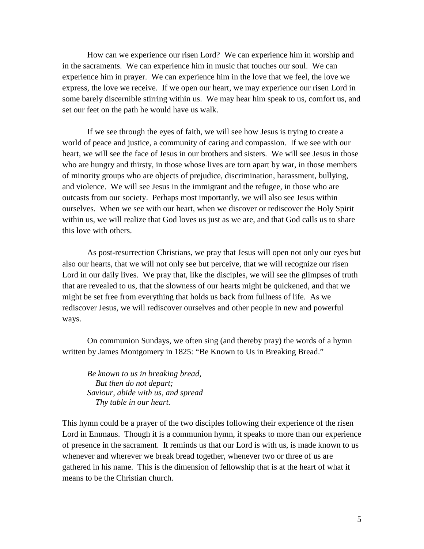How can we experience our risen Lord? We can experience him in worship and in the sacraments. We can experience him in music that touches our soul. We can experience him in prayer. We can experience him in the love that we feel, the love we express, the love we receive. If we open our heart, we may experience our risen Lord in some barely discernible stirring within us. We may hear him speak to us, comfort us, and set our feet on the path he would have us walk.

If we see through the eyes of faith, we will see how Jesus is trying to create a world of peace and justice, a community of caring and compassion. If we see with our heart, we will see the face of Jesus in our brothers and sisters. We will see Jesus in those who are hungry and thirsty, in those whose lives are torn apart by war, in those members of minority groups who are objects of prejudice, discrimination, harassment, bullying, and violence. We will see Jesus in the immigrant and the refugee, in those who are outcasts from our society. Perhaps most importantly, we will also see Jesus within ourselves. When we see with our heart, when we discover or rediscover the Holy Spirit within us, we will realize that God loves us just as we are, and that God calls us to share this love with others.

As post-resurrection Christians, we pray that Jesus will open not only our eyes but also our hearts, that we will not only see but perceive, that we will recognize our risen Lord in our daily lives. We pray that, like the disciples, we will see the glimpses of truth that are revealed to us, that the slowness of our hearts might be quickened, and that we might be set free from everything that holds us back from fullness of life. As we rediscover Jesus, we will rediscover ourselves and other people in new and powerful ways.

On communion Sundays, we often sing (and thereby pray) the words of a hymn written by James Montgomery in 1825: "Be Known to Us in Breaking Bread."

*Be known to us in breaking bread, But then do not depart; Saviour, abide with us, and spread Thy table in our heart.*

This hymn could be a prayer of the two disciples following their experience of the risen Lord in Emmaus. Though it is a communion hymn, it speaks to more than our experience of presence in the sacrament. It reminds us that our Lord is with us, is made known to us whenever and wherever we break bread together, whenever two or three of us are gathered in his name. This is the dimension of fellowship that is at the heart of what it means to be the Christian church.